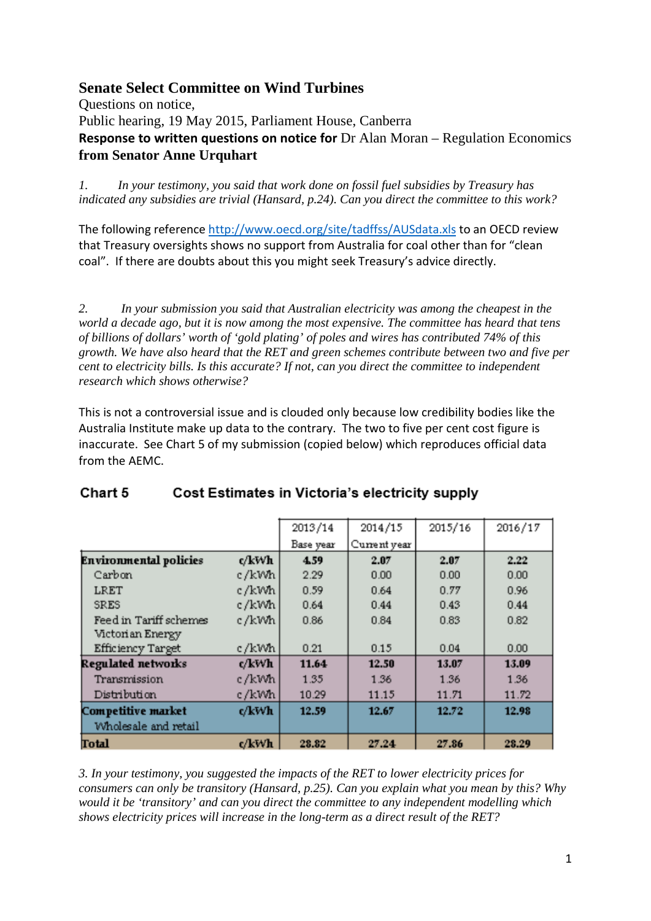## **Senate Select Committee on Wind Turbines**

Questions on notice, Public hearing, 19 May 2015, Parliament House, Canberra **Response to written questions on notice for** Dr Alan Moran – Regulation Economics **from Senator Anne Urquhart**

*1. In your testimony, you said that work done on fossil fuel subsidies by Treasury has indicated any subsidies are trivial (Hansard, p.24). Can you direct the committee to this work?*

The following referenc[e http://www.oecd.org/site/tadffss/AUSdata.xls](http://www.oecd.org/site/tadffss/AUSdata.xls) to an OECD review that Treasury oversights shows no support from Australia for coal other than for "clean coal". If there are doubts about this you might seek Treasury's advice directly.

*2. In your submission you said that Australian electricity was among the cheapest in the world a decade ago, but it is now among the most expensive. The committee has heard that tens of billions of dollars' worth of 'gold plating' of poles and wires has contributed 74% of this growth. We have also heard that the RET and green schemes contribute between two and five per cent to electricity bills. Is this accurate? If not, can you direct the committee to independent research which shows otherwise?* 

This is not a controversial issue and is clouded only because low credibility bodies like the Australia Institute make up data to the contrary. The two to five per cent cost figure is inaccurate. See Chart 5 of my submission (copied below) which reproduces official data from the AEMC.

|                               |       | 2013/14   | 2014/15      | 2015/16 | 2016/17 |
|-------------------------------|-------|-----------|--------------|---------|---------|
|                               |       | Base year | Current year |         |         |
| <b>Environmental policies</b> | c/kWh | 4.59      | 2.07         | 2.07    | 2.22    |
| Carbon                        | c/kWh | 2.29      | 0.00         | 0.00    | 0.00    |
| LRET                          | c/kWh | 0.59      | 0.64         | 0.77    | 0.96    |
| <b>SRES</b>                   | c/kWh | 0.64      | 0.44         | 0.43    | 0.44    |
| Feed in Tariff schemes        | c/kWh | 0.86      | 0.84         | 0.83    | 0.82    |
| Victorian Energy              |       |           |              |         |         |
| <b>Efficiency Target</b>      | c/kWh | 0.21      | 0.15         | 0.04    | 0.00    |
| Regulated networks            | c/kWh | 11.64     | 12.50        | 13.07   | 13.09   |
| Transmission                  | c/kWh | 1.35      | 1.36         | 1.36    | 1.36    |
| Distribution                  | c/kWh | 10.29     | 11.15        | 11.71   | 11.72   |
| Competitive market            | c/kWh | 12.59     | 12.67        | 12.72   | 12.98   |
| Wholesale and retail          |       |           |              |         |         |
| <b>Total</b>                  | c/kWh | 28.82     | 27.24        | 27.86   | 28.29   |

## Chart 5 Cost Estimates in Victoria's electricity supply

*3. In your testimony, you suggested the impacts of the RET to lower electricity prices for consumers can only be transitory (Hansard, p.25). Can you explain what you mean by this? Why would it be 'transitory' and can you direct the committee to any independent modelling which shows electricity prices will increase in the long-term as a direct result of the RET?*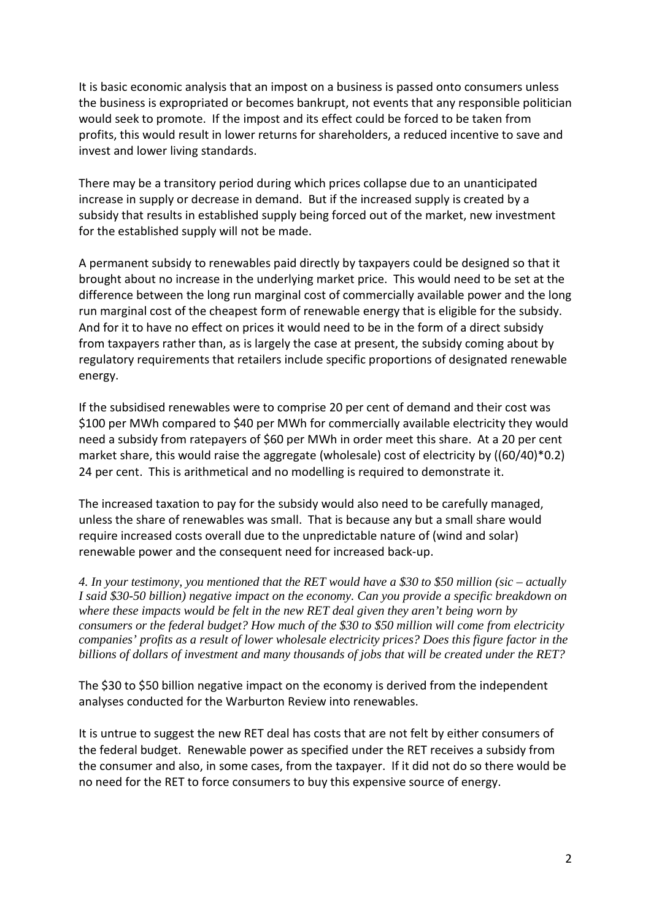It is basic economic analysis that an impost on a business is passed onto consumers unless the business is expropriated or becomes bankrupt, not events that any responsible politician would seek to promote. If the impost and its effect could be forced to be taken from profits, this would result in lower returns for shareholders, a reduced incentive to save and invest and lower living standards.

There may be a transitory period during which prices collapse due to an unanticipated increase in supply or decrease in demand. But if the increased supply is created by a subsidy that results in established supply being forced out of the market, new investment for the established supply will not be made.

A permanent subsidy to renewables paid directly by taxpayers could be designed so that it brought about no increase in the underlying market price. This would need to be set at the difference between the long run marginal cost of commercially available power and the long run marginal cost of the cheapest form of renewable energy that is eligible for the subsidy. And for it to have no effect on prices it would need to be in the form of a direct subsidy from taxpayers rather than, as is largely the case at present, the subsidy coming about by regulatory requirements that retailers include specific proportions of designated renewable energy.

If the subsidised renewables were to comprise 20 per cent of demand and their cost was \$100 per MWh compared to \$40 per MWh for commercially available electricity they would need a subsidy from ratepayers of \$60 per MWh in order meet this share. At a 20 per cent market share, this would raise the aggregate (wholesale) cost of electricity by ((60/40)\*0.2) 24 per cent. This is arithmetical and no modelling is required to demonstrate it.

The increased taxation to pay for the subsidy would also need to be carefully managed, unless the share of renewables was small. That is because any but a small share would require increased costs overall due to the unpredictable nature of (wind and solar) renewable power and the consequent need for increased back-up.

*4. In your testimony, you mentioned that the RET would have a \$30 to \$50 million (sic – actually I said \$30-50 billion) negative impact on the economy. Can you provide a specific breakdown on where these impacts would be felt in the new RET deal given they aren't being worn by consumers or the federal budget? How much of the \$30 to \$50 million will come from electricity companies' profits as a result of lower wholesale electricity prices? Does this figure factor in the billions of dollars of investment and many thousands of jobs that will be created under the RET?* 

The \$30 to \$50 billion negative impact on the economy is derived from the independent analyses conducted for the Warburton Review into renewables.

It is untrue to suggest the new RET deal has costs that are not felt by either consumers of the federal budget. Renewable power as specified under the RET receives a subsidy from the consumer and also, in some cases, from the taxpayer. If it did not do so there would be no need for the RET to force consumers to buy this expensive source of energy.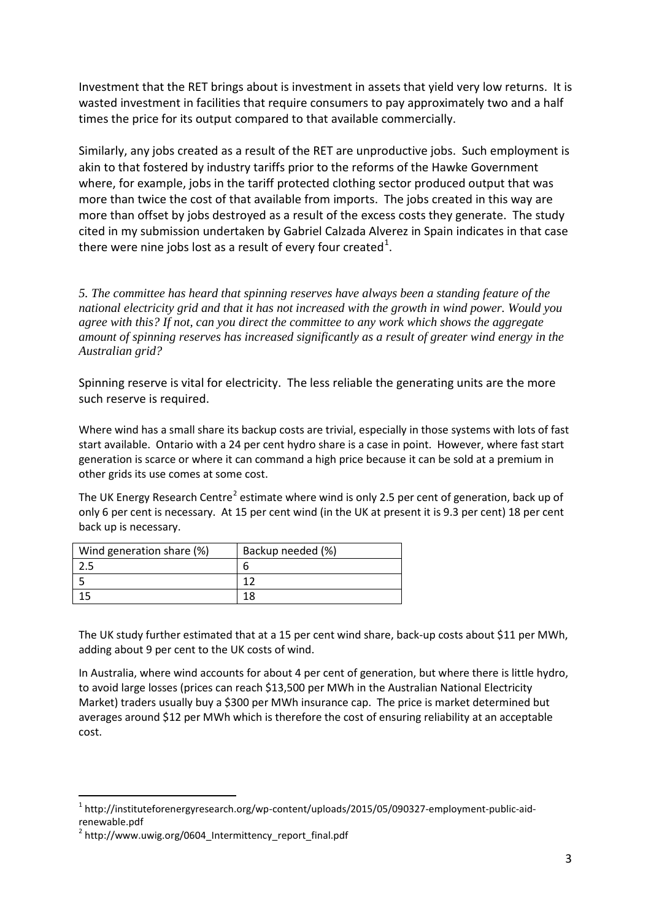Investment that the RET brings about is investment in assets that yield very low returns. It is wasted investment in facilities that require consumers to pay approximately two and a half times the price for its output compared to that available commercially.

Similarly, any jobs created as a result of the RET are unproductive jobs. Such employment is akin to that fostered by industry tariffs prior to the reforms of the Hawke Government where, for example, jobs in the tariff protected clothing sector produced output that was more than twice the cost of that available from imports. The jobs created in this way are more than offset by jobs destroyed as a result of the excess costs they generate. The study cited in my submission undertaken by Gabriel Calzada Alverez in Spain indicates in that case there were nine jobs lost as a result of every four created<sup>[1](#page-2-0)</sup>.

*5. The committee has heard that spinning reserves have always been a standing feature of the national electricity grid and that it has not increased with the growth in wind power. Would you agree with this? If not, can you direct the committee to any work which shows the aggregate amount of spinning reserves has increased significantly as a result of greater wind energy in the Australian grid?* 

Spinning reserve is vital for electricity. The less reliable the generating units are the more such reserve is required.

Where wind has a small share its backup costs are trivial, especially in those systems with lots of fast start available. Ontario with a 24 per cent hydro share is a case in point. However, where fast start generation is scarce or where it can command a high price because it can be sold at a premium in other grids its use comes at some cost.

The UK Energy Research Centre<sup>[2](#page-2-1)</sup> estimate where wind is only 2.5 per cent of generation, back up of only 6 per cent is necessary. At 15 per cent wind (in the UK at present it is 9.3 per cent) 18 per cent back up is necessary.

| Wind generation share (%) | Backup needed (%) |
|---------------------------|-------------------|
|                           |                   |
|                           |                   |
|                           |                   |

The UK study further estimated that at a 15 per cent wind share, back-up costs about \$11 per MWh, adding about 9 per cent to the UK costs of wind.

In Australia, where wind accounts for about 4 per cent of generation, but where there is little hydro, to avoid large losses (prices can reach \$13,500 per MWh in the Australian National Electricity Market) traders usually buy a \$300 per MWh insurance cap. The price is market determined but averages around \$12 per MWh which is therefore the cost of ensuring reliability at an acceptable cost.

<span id="page-2-0"></span><sup>&</sup>lt;sup>1</sup> http://instituteforenergyresearch.org/wp-content/uploads/2015/05/090327-employment-public-aidrenewable.pdf

<span id="page-2-1"></span> $2$  http://www.uwig.org/0604 Intermittency report final.pdf